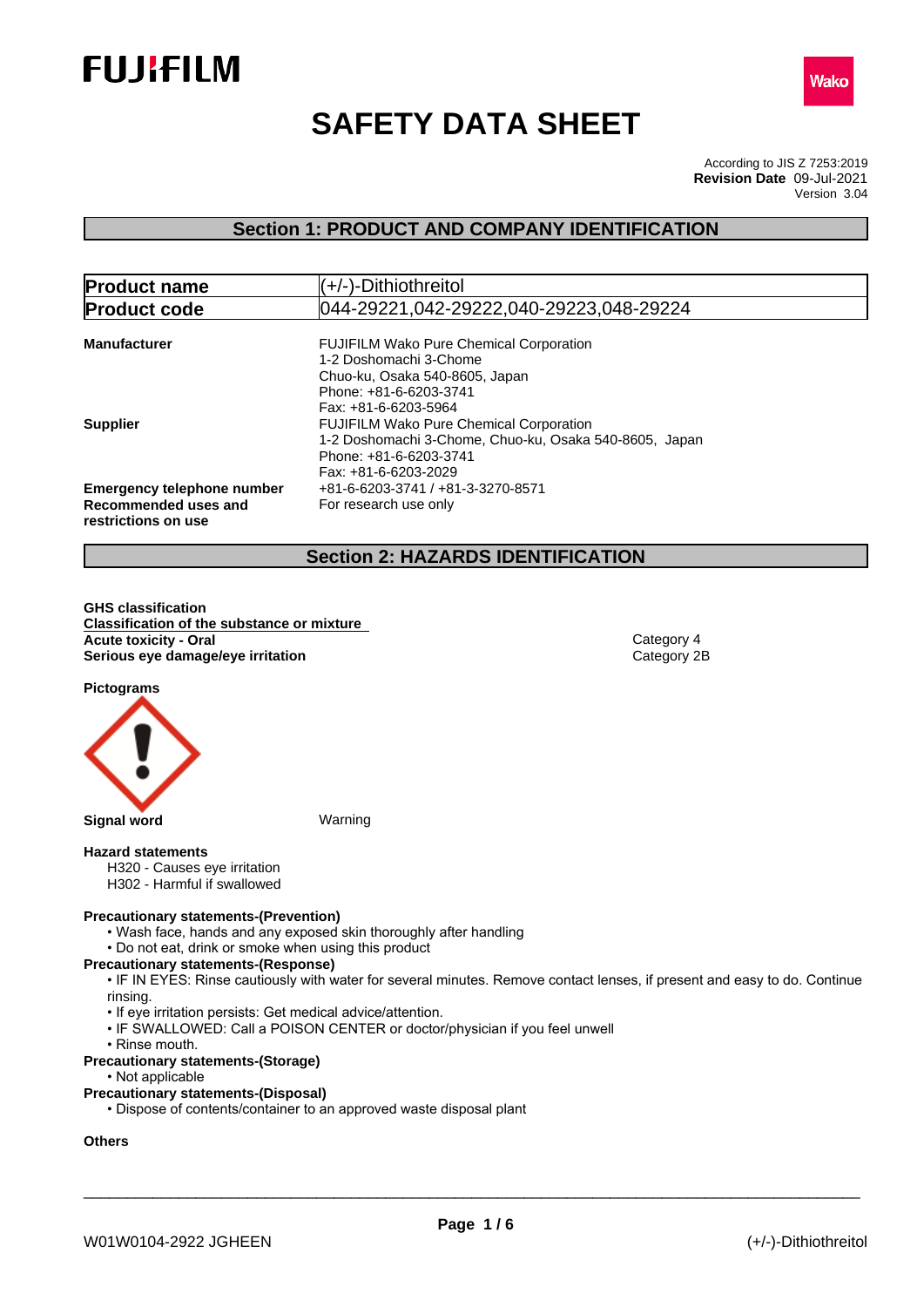



# **SAFETY DATA SHEET**

According to JIS Z 7253:2019 Version 3.04 **Revision Date** 09-Jul-2021

# **Section 1: PRODUCT AND COMPANY IDENTIFICATION**

| <b>Product name</b>                                                              | (+/-)-Dithiothreitol                                                                                                                                                               |
|----------------------------------------------------------------------------------|------------------------------------------------------------------------------------------------------------------------------------------------------------------------------------|
| <b>Product code</b>                                                              | 044-29221,042-29222,040-29223,048-29224                                                                                                                                            |
| <b>Manufacturer</b>                                                              | <b>FUJIFILM Wako Pure Chemical Corporation</b><br>1-2 Doshomachi 3-Chome<br>Chuo-ku, Osaka 540-8605, Japan<br>Phone: +81-6-6203-3741                                               |
| <b>Supplier</b>                                                                  | Fax: +81-6-6203-5964<br><b>FUJIFILM Wako Pure Chemical Corporation</b><br>1-2 Doshomachi 3-Chome, Chuo-ku, Osaka 540-8605, Japan<br>Phone: +81-6-6203-3741<br>Fax: +81-6-6203-2029 |
| <b>Emergency telephone number</b><br>Recommended uses and<br>restrictions on use | +81-6-6203-3741 / +81-3-3270-8571<br>For research use only                                                                                                                         |

# **Section 2: HAZARDS IDENTIFICATION**

**GHS classification Classification of the substance or mixture Acute toxicity - Oral Category 4**<br> **Serious eye damage/eye irritation**<br>
Category 2B **Serious** eye damage/eye irritation

**Pictograms**



#### **Hazard statements**

- H320 Causes eye irritation
- H302 Harmful if swallowed

### **Precautionary statements-(Prevention)**

- Wash face, hands and any exposed skin thoroughly after handling
- Do not eat, drink or smoke when using this product

#### **Precautionary statements-(Response)**

• IF IN EYES: Rinse cautiously with water for several minutes. Remove contact lenses, if present and easy to do. Continue rinsing.

- If eye irritation persists: Get medical advice/attention.
- IF SWALLOWED: Call a POISON CENTER or doctor/physician if you feel unwell
- Rinse mouth.
- **Precautionary statements-(Storage)**
	- Not applicable

#### **Precautionary statements-(Disposal)**

• Dispose of contents/container to an approved waste disposal plant

# **Others**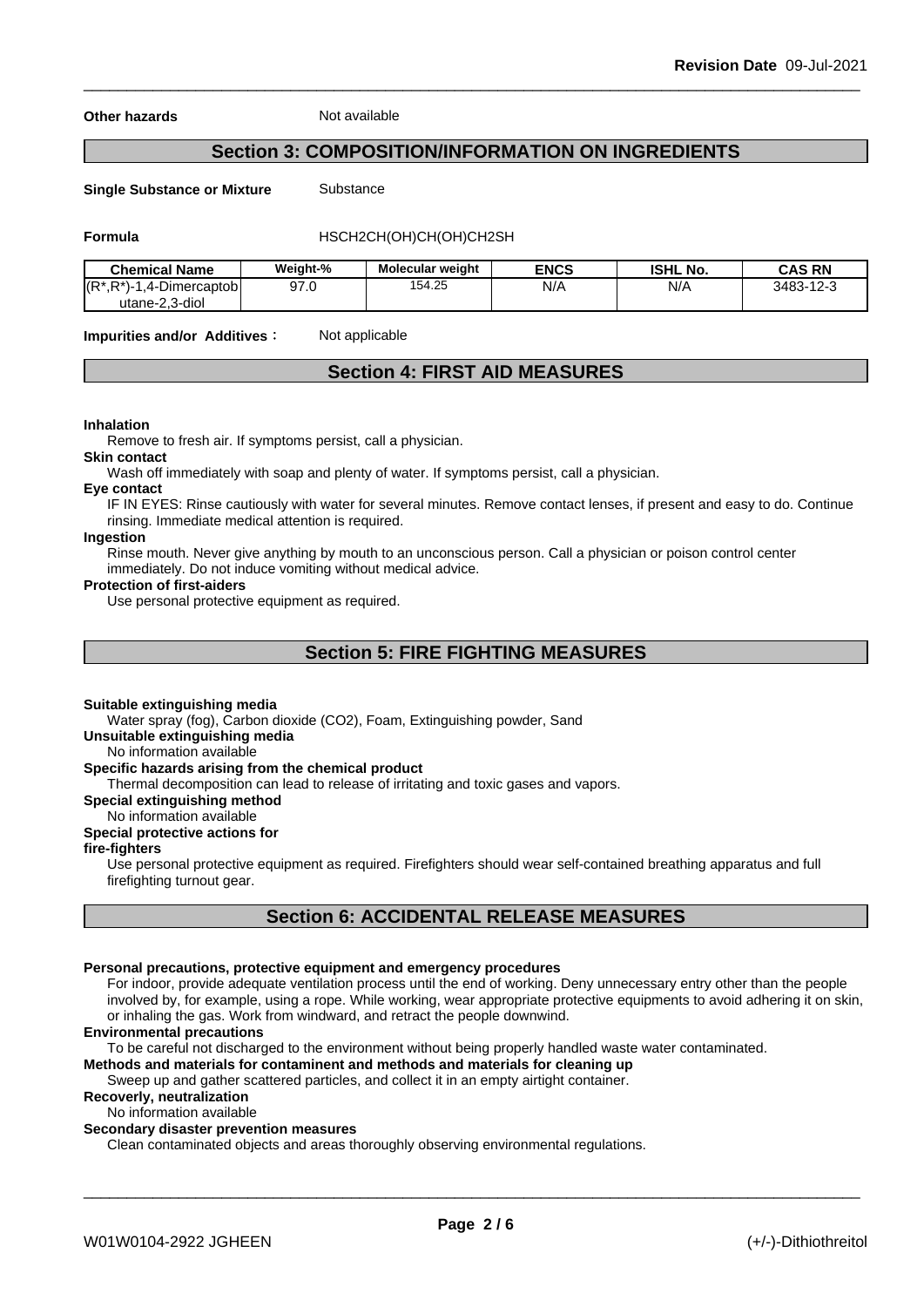**Other hazards** Not available

# **Section 3: COMPOSITION/INFORMATION ON INGREDIENTS**

**Single Substance or Mixture** Substance

**Formula** HSCH2CH(OH)CH(OH)CH2SH

| <b>Chemical Name</b>                             | Weight-% | <b>Molecular weight</b> | <b>ENCS</b> | <b>ISHL No.</b> | <b>CAS RN</b> |
|--------------------------------------------------|----------|-------------------------|-------------|-----------------|---------------|
| $(R^*, R^*)$<br>--<br>√Dimercaptobl<br><u>д-</u> | 97.0     | 154.25                  | N/A         | N/A             | 3483-12-3     |
| utane-2.3-diol                                   |          |                         |             |                 |               |

**Impurities and/or Additives:** Not applicable

# **Section 4: FIRST AID MEASURES**

#### **Inhalation**

Remove to fresh air. If symptoms persist, call a physician.

**Skin contact**

Wash off immediately with soap and plenty of water. If symptoms persist, call a physician.

#### **Eye contact**

IF IN EYES: Rinse cautiously with water for several minutes. Remove contact lenses, if present and easy to do. Continue rinsing. Immediate medical attention is required.

# **Ingestion**

Rinse mouth. Never give anything by mouth to an unconscious person. Call a physician or poison control center immediately. Do not induce vomiting without medical advice.

#### **Protection of first-aiders**

Use personal protective equipment as required.

# **Section 5: FIRE FIGHTING MEASURES**

#### **Suitable extinguishing media**

Water spray (fog), Carbon dioxide (CO2), Foam, Extinguishing powder, Sand

**Unsuitable extinguishing media**

### No information available

# **Specific hazards arising from the chemical product**

Thermal decomposition can lead to release of irritating and toxic gases and vapors.

#### **Special extinguishing method**

No information available

# **Special protective actions for**

# **fire-fighters**

Use personal protective equipment as required.Firefighters should wear self-contained breathing apparatus and full firefighting turnout gear.

# **Section 6: ACCIDENTAL RELEASE MEASURES**

#### **Personal precautions, protective equipment and emergency procedures**

For indoor, provide adequate ventilation process until the end of working. Deny unnecessary entry other than the people involved by, for example, using a rope. While working, wear appropriate protective equipments to avoid adhering it on skin, or inhaling the gas. Work from windward, and retract the people downwind.

#### **Environmental precautions**

To be careful not discharged to the environment without being properly handled waste water contaminated.

# **Methods and materials for contaminent and methods and materials for cleaning up**

Sweep up and gather scattered particles, and collect it in an empty airtight container.

# **Recoverly, neutralization**

No information available

### **Secondary disaster prevention measures**

Clean contaminated objects and areas thoroughly observing environmental regulations.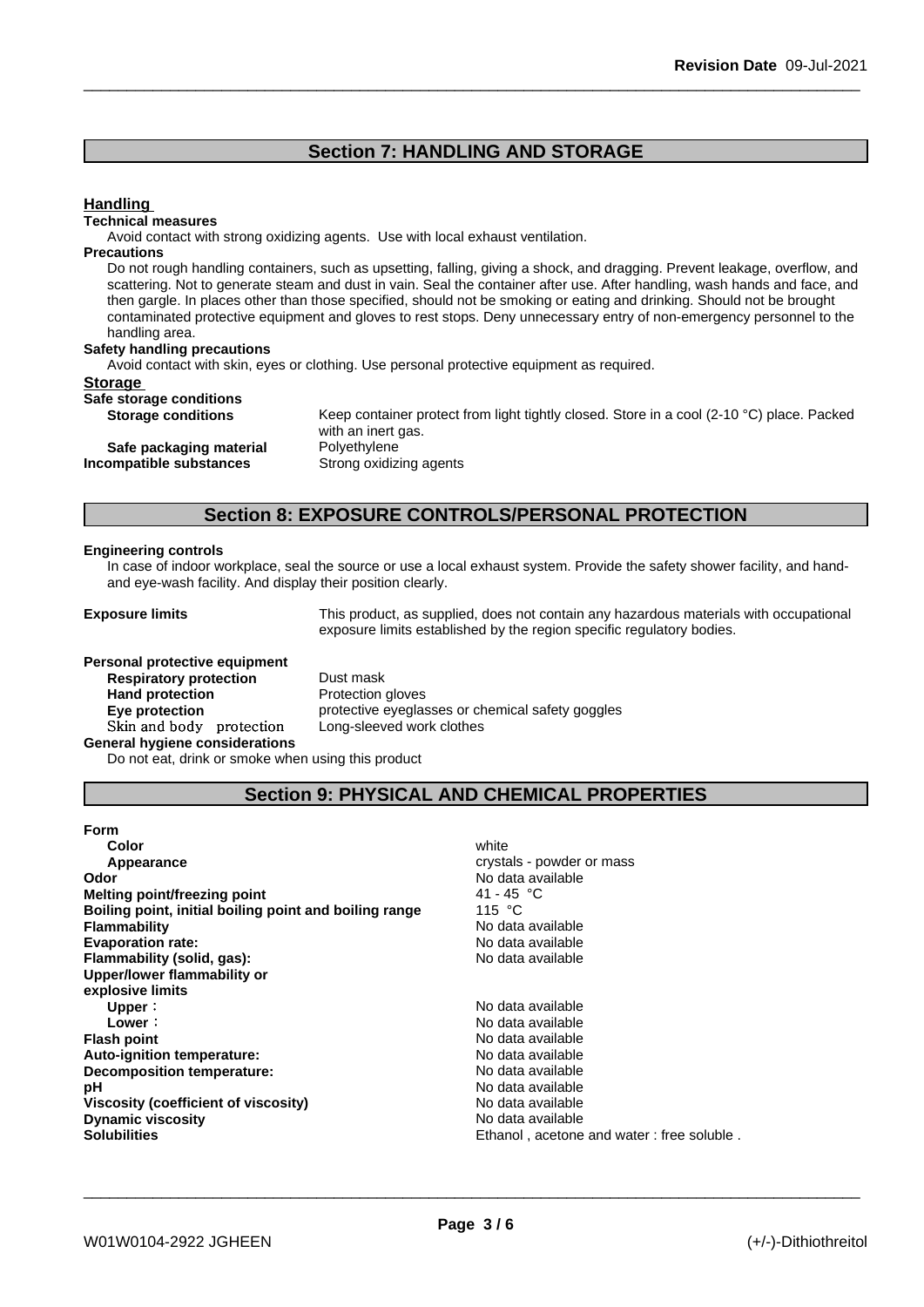# **Section 7: HANDLING AND STORAGE**

### **Handling**

#### **Technical measures**

Avoid contact with strong oxidizing agents. Use with local exhaust ventilation.

#### **Precautions**

Do not rough handling containers, such as upsetting, falling, giving a shock, and dragging. Prevent leakage, overflow, and scattering. Not to generate steam and dust in vain. Seal the container after use. After handling, wash hands and face, and then gargle. In places other than those specified, should not be smoking or eating and drinking. Should not be brought contaminated protective equipment and gloves to rest stops. Deny unnecessary entry of non-emergency personnel to the handling area.

#### **Safety handling precautions**

Avoid contact with skin, eyes or clothing. Use personal protective equipment as required.

#### **Storage**

| _______                 |            |
|-------------------------|------------|
| Safe storage conditions |            |
| Storage conditions      | Koon conta |

**Storage conditions** Keep container protect from light tightly closed. Store in a cool (2-10 °C) place. Packed with an inert gas. **Safe packaging material** Polyethylene **Incompatible substances** Strong oxidizing agents

# **Section 8: EXPOSURE CONTROLS/PERSONAL PROTECTION**

#### **Engineering controls**

In case of indoor workplace, seal the source or use a local exhaust system. Provide the safety shower facility, and handand eye-wash facility. And display their position clearly.

**Exposure limits** This product, as supplied, does not contain any hazardous materials with occupational exposure limits established by the region specific regulatory bodies.

| Personal protective equipment         |                      |
|---------------------------------------|----------------------|
| <b>Respiratory protection</b>         | Dust mask            |
| <b>Hand protection</b>                | Protection gloves    |
| Eye protection                        | protective eyeglasse |
| Skin and body protection              | Long-sleeved work    |
| <b>General hygiene considerations</b> |                      |
|                                       |                      |

**Dust mask Protection gloves Eye protection** protective eyeglasses or chemical safety goggles Long-sleeved work clothes

Do not eat, drink or smoke when using this product

# **Section 9: PHYSICAL AND CHEMICAL PROPERTIES**

| <b>Form</b>                                            |                                           |
|--------------------------------------------------------|-------------------------------------------|
| Color                                                  | white                                     |
| Appearance                                             | crystals - powder or mass                 |
| <b>Odor</b>                                            | No data available                         |
| Melting point/freezing point                           | 41 - 45 °C                                |
| Boiling point, initial boiling point and boiling range | 115 $\degree$ C                           |
| <b>Flammability</b>                                    | No data available                         |
| <b>Evaporation rate:</b>                               | No data available                         |
| Flammability (solid, gas):                             | No data available                         |
| Upper/lower flammability or                            |                                           |
| explosive limits                                       |                                           |
| Upper:                                                 | No data available                         |
| Lower:                                                 | No data available                         |
| <b>Flash point</b>                                     | No data available                         |
| <b>Auto-ignition temperature:</b>                      | No data available                         |
| Decomposition temperature:                             | No data available                         |
| рH                                                     | No data available                         |
| Viscosity (coefficient of viscosity)                   | No data available                         |
| <b>Dynamic viscosity</b>                               | No data available                         |
| <b>Solubilities</b>                                    | Ethanol, acetone and water: free soluble. |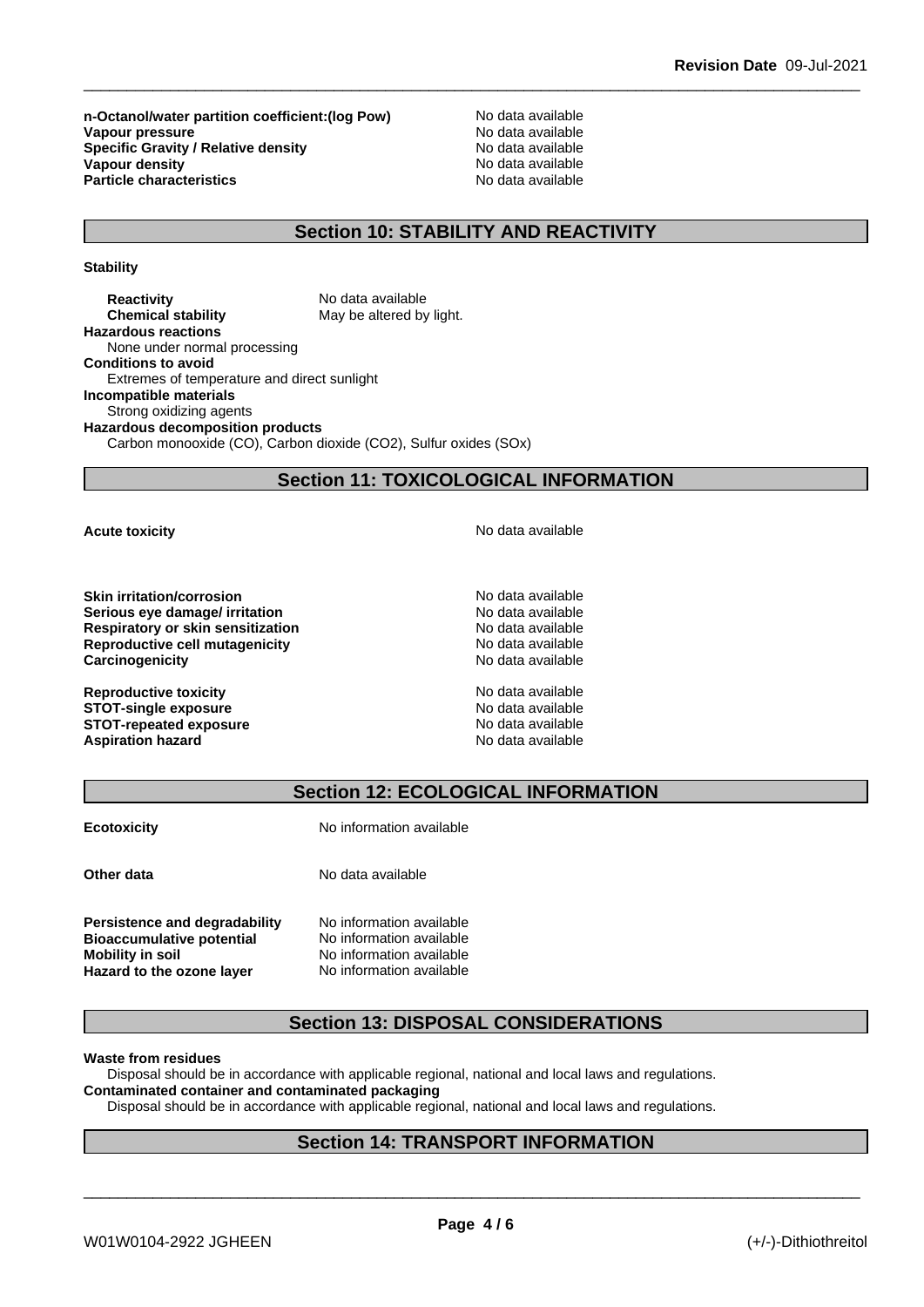**n-Octanol/water partition coefficient:(log Pow)** No data available<br>
Vanour pressure<br>
No data available **Vapour pressure**<br> **Specific Gravity / Relative density**<br>
Specific Gravity / Relative density<br>
No data available **Specific Gravity / Relative density Vapour density**<br> **Particle characteristics**<br> **Particle characteristics**<br> **Particle characteristics Particle characteristics** 

# **Section 10: STABILITY AND REACTIVITY**

**Stability**

**Reactivity Reactivity** No data available<br> **Chemical stability** May be altered by May be altered by light. **Hazardous reactions** None under normal processing **Conditions to avoid** Extremes of temperature and direct sunlight **Incompatible materials** Strong oxidizing agents **Hazardous decomposition products** Carbon monooxide (CO), Carbon dioxide (CO2), Sulfur oxides (SOx)

# **Section 11: TOXICOLOGICAL INFORMATION**

**Skin irritation/corrosion** No data available **Serious eye damage/ irritation example 3** No data available **Respiratory or skin sensitization** No data available **Reproductive cell mutagenicity** No data available **Carcinogenicity Carcinogenicity No data available** 

**Reproductive toxicity**  $\qquad \qquad \qquad$  No data available **STOT-single exposure**<br> **STOT-repeated exposure**<br> **STOT-repeated exposure STOT-repeated exposure Aspiration hazard No data available** No data available

**Acute toxicity Acute toxicity Acute has a structure in the structure of**  $\mathbb{R}^n$  **and**  $\mathbb{R}^n$  **<b>No data available** 

# **Section 12: ECOLOGICAL INFORMATION**

**Ecotoxicity No information available** 

**Other data** No data available

**Persistence and degradability** No information available **Bioaccumulative potential** No information available **Mobility** in soil No information available

**Hazard to the ozone layer** No information available

# **Section 13: DISPOSAL CONSIDERATIONS**

#### **Waste from residues**

Disposal should be in accordance with applicable regional, national and local laws and regulations.

## **Contaminated container and contaminated packaging**

Disposal should be in accordance with applicable regional, national and local laws and regulations.

# **Section 14: TRANSPORT INFORMATION**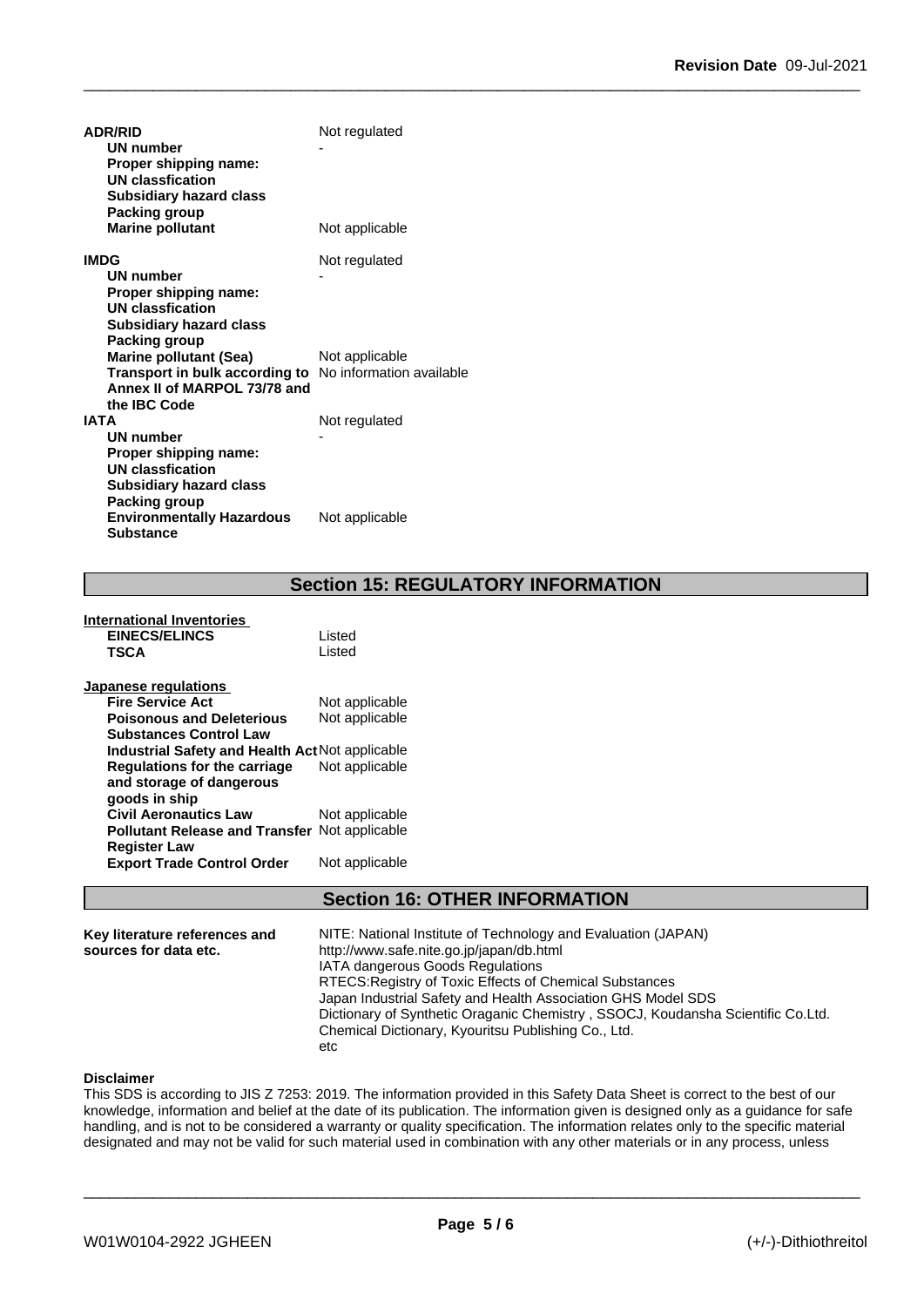| <b>ADR/RID</b>                                                 | Not regulated  |
|----------------------------------------------------------------|----------------|
| <b>UN number</b>                                               |                |
| Proper shipping name:                                          |                |
| <b>UN classfication</b>                                        |                |
| <b>Subsidiary hazard class</b>                                 |                |
| Packing group                                                  |                |
| <b>Marine pollutant</b>                                        | Not applicable |
| <b>IMDG</b>                                                    | Not regulated  |
| <b>UN number</b>                                               |                |
| Proper shipping name:                                          |                |
| <b>UN classfication</b>                                        |                |
| <b>Subsidiary hazard class</b>                                 |                |
| Packing group                                                  |                |
| <b>Marine pollutant (Sea)</b>                                  | Not applicable |
| <b>Transport in bulk according to</b> No information available |                |
| Annex II of MARPOL 73/78 and                                   |                |
| the IBC Code                                                   |                |
| <b>IATA</b>                                                    | Not regulated  |
| <b>UN number</b>                                               |                |
| Proper shipping name:<br><b>UN classfication</b>               |                |
| <b>Subsidiary hazard class</b>                                 |                |
| Packing group                                                  |                |
| <b>Environmentally Hazardous</b>                               | Not applicable |
| <b>Substance</b>                                               |                |

# **Section 15: REGULATORY INFORMATION**

| International Inventories<br><b>EINECS/ELINCS</b><br><b>TSCA</b> | Listed<br>Listed |
|------------------------------------------------------------------|------------------|
| Japanese regulations                                             |                  |
| <b>Fire Service Act</b>                                          | Not applicable   |
| <b>Poisonous and Deleterious</b>                                 | Not applicable   |
| <b>Substances Control Law</b>                                    |                  |
| <b>Industrial Safety and Health Act Not applicable</b>           |                  |
| <b>Regulations for the carriage</b>                              | Not applicable   |
| and storage of dangerous                                         |                  |
| goods in ship                                                    |                  |
| <b>Civil Aeronautics Law</b>                                     | Not applicable   |
| <b>Pollutant Release and Transfer Not applicable</b>             |                  |
| <b>Register Law</b>                                              |                  |
| <b>Export Trade Control Order</b>                                | Not applicable   |
|                                                                  |                  |

# **Section 16: OTHER INFORMATION**

| Key literature references and<br>sources for data etc. | NITE: National Institute of Technology and Evaluation (JAPAN)<br>http://www.safe.nite.go.jp/japan/db.html<br><b>IATA dangerous Goods Regulations</b><br>RTECS: Registry of Toxic Effects of Chemical Substances<br>Japan Industrial Safety and Health Association GHS Model SDS<br>Dictionary of Synthetic Oraganic Chemistry, SSOCJ, Koudansha Scientific Co.Ltd. |
|--------------------------------------------------------|--------------------------------------------------------------------------------------------------------------------------------------------------------------------------------------------------------------------------------------------------------------------------------------------------------------------------------------------------------------------|
|                                                        | Chemical Dictionary, Kyouritsu Publishing Co., Ltd.<br>etc                                                                                                                                                                                                                                                                                                         |

### **Disclaimer**

This SDS is according to JIS Z 7253: 2019. The information provided in this Safety Data Sheet is correct to the best of our knowledge, information and belief at the date of its publication. The information given is designed only as a guidance for safe handling, and is not to be considered a warranty or quality specification. The information relates only to the specific material designated and may not be valid for such material used in combination with any other materials or in any process, unless